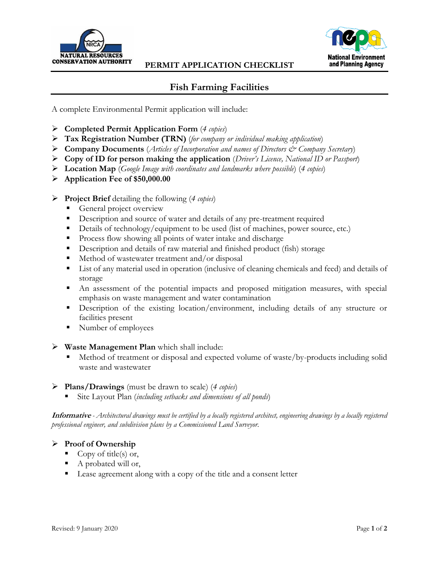



# **Fish Farming Facilities**

A complete Environmental Permit application will include:

- **Completed Permit Application Form** (*4 copies*)
- **Tax Registration Number (TRN)** (*for company or individual making application*)
- **Company Documents** (*Articles of Incorporation and names of Directors & Company Secretary*)
- **Copy of ID for person making the application** (*Driver's Licence, National ID or Passport*)
- **Location Map** (*Google Image with coordinates and landmarks where possible*) (*4 copies*)
- **Application Fee of \$50,000.00**

### **Project Brief** detailing the following (*4 copies*)

- General project overview
- Description and source of water and details of any pre-treatment required
- Details of technology/equipment to be used (list of machines, power source, etc.)
- **Process flow showing all points of water intake and discharge**
- Description and details of raw material and finished product (fish) storage
- $\blacksquare$  Method of wastewater treatment and/or disposal
- List of any material used in operation (inclusive of cleaning chemicals and feed) and details of storage
- An assessment of the potential impacts and proposed mitigation measures, with special emphasis on waste management and water contamination
- **Description** of the existing location/environment, including details of any structure or facilities present
- Number of employees
- **Waste Management Plan** which shall include:
	- Method of treatment or disposal and expected volume of waste/by-products including solid waste and wastewater
- **Plans/Drawings** (must be drawn to scale) (*4 copies*)
	- Site Layout Plan (*including setbacks and dimensions of all ponds*)

**Informative** *- Architectural drawings must be certified by a locally registered architect, engineering drawings by a locally registered professional engineer, and subdivision plans by a Commissioned Land Surveyor.*

# **Proof of Ownership**

- Copy of title(s) or,
- A probated will or,
- Lease agreement along with a copy of the title and a consent letter